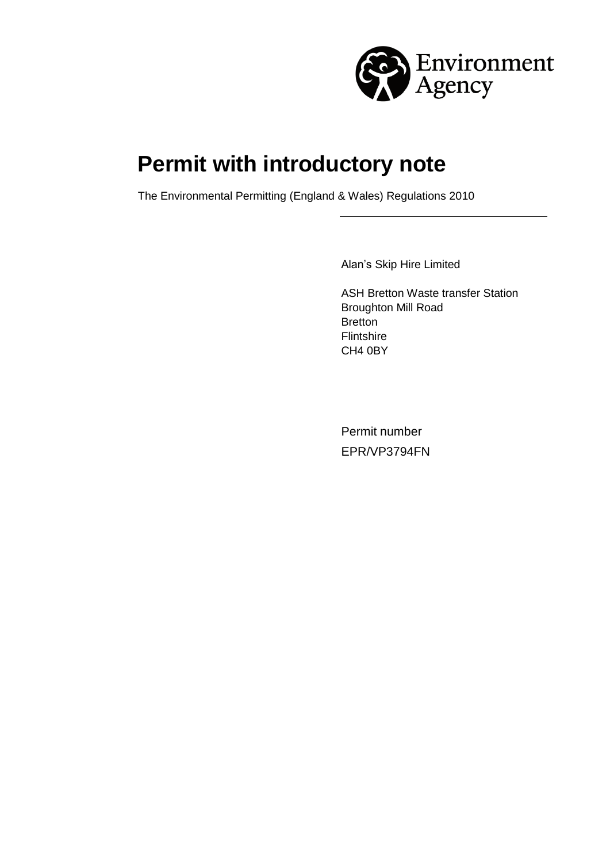

# **Permit with introductory note**

The Environmental Permitting (England & Wales) Regulations 2010

Alan's Skip Hire Limited

ASH Bretton Waste transfer Station Broughton Mill Road Bretton Flintshire CH4 0BY

Permit number EPR/VP3794FN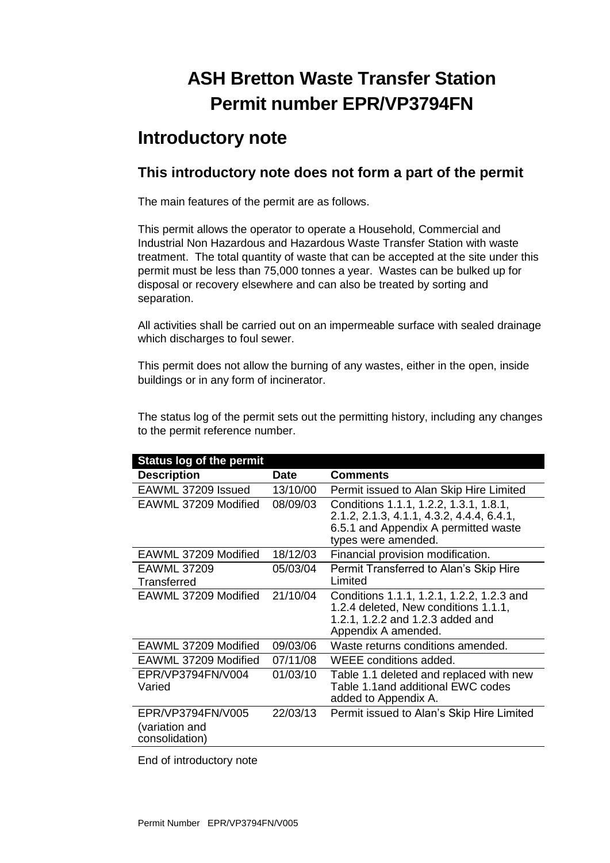## **ASH Bretton Waste Transfer Station Permit number EPR/VP3794FN**

## **Introductory note**

### **This introductory note does not form a part of the permit**

The main features of the permit are as follows.

This permit allows the operator to operate a Household, Commercial and Industrial Non Hazardous and Hazardous Waste Transfer Station with waste treatment. The total quantity of waste that can be accepted at the site under this permit must be less than 75,000 tonnes a year. Wastes can be bulked up for disposal or recovery elsewhere and can also be treated by sorting and separation.

All activities shall be carried out on an impermeable surface with sealed drainage which discharges to foul sewer.

This permit does not allow the burning of any wastes, either in the open, inside buildings or in any form of incinerator.

The status log of the permit sets out the permitting history, including any changes to the permit reference number.

| <b>Status log of the permit</b>                       |             |                                                                                                                                                    |
|-------------------------------------------------------|-------------|----------------------------------------------------------------------------------------------------------------------------------------------------|
| <b>Description</b>                                    | <b>Date</b> | <b>Comments</b>                                                                                                                                    |
| EAWML 37209 Issued                                    | 13/10/00    | Permit issued to Alan Skip Hire Limited                                                                                                            |
| EAWML 37209 Modified                                  | 08/09/03    | Conditions 1.1.1, 1.2.2, 1.3.1, 1.8.1,<br>2.1.2, 2.1.3, 4.1.1, 4.3.2, 4.4.4, 6.4.1,<br>6.5.1 and Appendix A permitted waste<br>types were amended. |
| EAWML 37209 Modified                                  | 18/12/03    | Financial provision modification.                                                                                                                  |
| <b>EAWML 37209</b><br>Transferred                     | 05/03/04    | Permit Transferred to Alan's Skip Hire<br>Limited                                                                                                  |
| EAWML 37209 Modified                                  | 21/10/04    | Conditions 1.1.1, 1.2.1, 1.2.2, 1.2.3 and<br>1.2.4 deleted, New conditions 1.1.1,<br>1.2.1, 1.2.2 and 1.2.3 added and<br>Appendix A amended.       |
| EAWML 37209 Modified                                  | 09/03/06    | Waste returns conditions amended.                                                                                                                  |
| EAWML 37209 Modified                                  | 07/11/08    | WEEE conditions added.                                                                                                                             |
| EPR/VP3794FN/V004<br>Varied                           | 01/03/10    | Table 1.1 deleted and replaced with new<br>Table 1.1 and additional EWC codes<br>added to Appendix A.                                              |
| EPR/VP3794FN/V005<br>(variation and<br>consolidation) | 22/03/13    | Permit issued to Alan's Skip Hire Limited                                                                                                          |

End of introductory note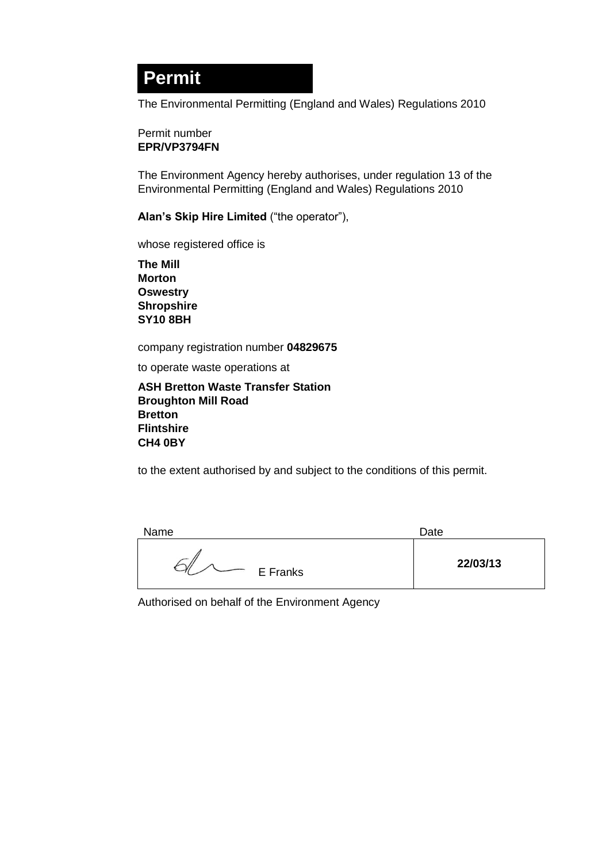## **Permit**

The Environmental Permitting (England and Wales) Regulations 2010

#### Permit number **EPR/VP3794FN**

The Environment Agency hereby authorises, under regulation 13 of the Environmental Permitting (England and Wales) Regulations 2010

**Alan's Skip Hire Limited** ("the operator"),

whose registered office is

**The Mill Morton Oswestry Shropshire SY10 8BH**

company registration number **04829675**

to operate waste operations at

**ASH Bretton Waste Transfer Station Broughton Mill Road Bretton Flintshire CH4 0BY**

to the extent authorised by and subject to the conditions of this permit.

| Name     | Date     |
|----------|----------|
| E Franks | 22/03/13 |

Authorised on behalf of the Environment Agency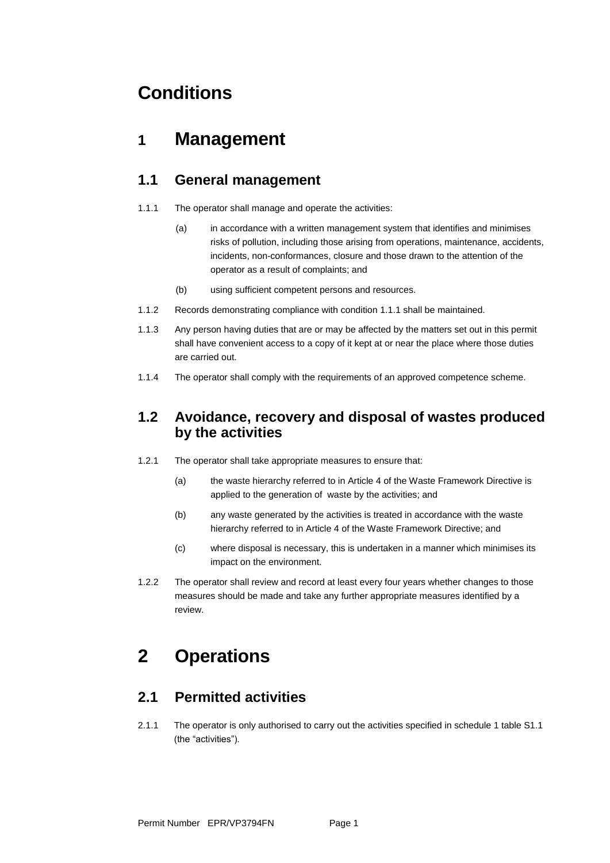## **Conditions**

### **1 Management**

#### **1.1 General management**

- 1.1.1 The operator shall manage and operate the activities:
	- (a) in accordance with a written management system that identifies and minimises risks of pollution, including those arising from operations, maintenance, accidents, incidents, non-conformances, closure and those drawn to the attention of the operator as a result of complaints; and
	- (b) using sufficient competent persons and resources.
- 1.1.2 Records demonstrating compliance with condition 1.1.1 shall be maintained.
- 1.1.3 Any person having duties that are or may be affected by the matters set out in this permit shall have convenient access to a copy of it kept at or near the place where those duties are carried out.
- 1.1.4 The operator shall comply with the requirements of an approved competence scheme.

#### **1.2 Avoidance, recovery and disposal of wastes produced by the activities**

- 1.2.1 The operator shall take appropriate measures to ensure that:
	- (a) the waste hierarchy referred to in Article 4 of the Waste Framework Directive is applied to the generation of waste by the activities; and
	- (b) any waste generated by the activities is treated in accordance with the waste hierarchy referred to in Article 4 of the Waste Framework Directive; and
	- (c) where disposal is necessary, this is undertaken in a manner which minimises its impact on the environment.
- 1.2.2 The operator shall review and record at least every four years whether changes to those measures should be made and take any further appropriate measures identified by a review.

## **2 Operations**

#### **2.1 Permitted activities**

2.1.1 The operator is only authorised to carry out the activities specified in schedule 1 table S1.1 (the "activities").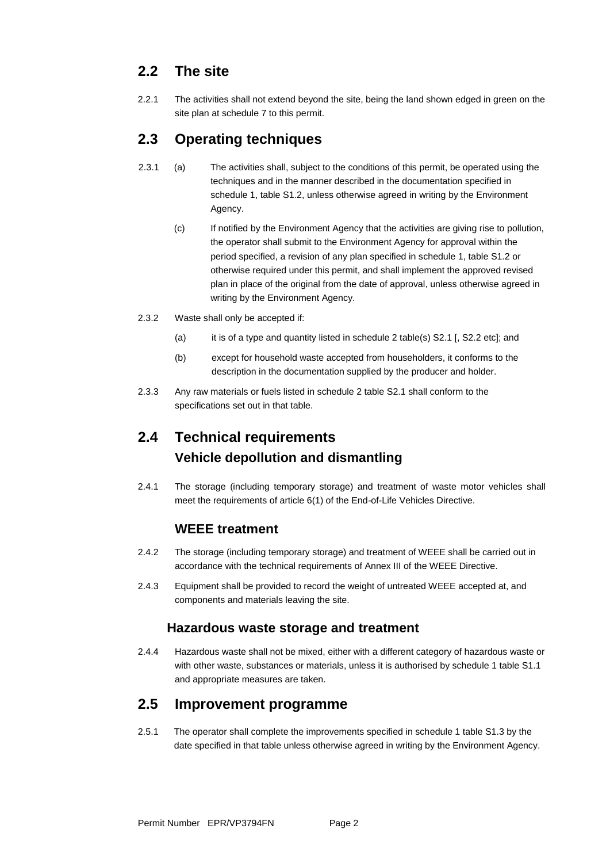### **2.2 The site**

2.2.1 The activities shall not extend beyond the site, being the land shown edged in green on the site plan at schedule 7 to this permit.

### **2.3 Operating techniques**

- 2.3.1 (a) The activities shall, subject to the conditions of this permit, be operated using the techniques and in the manner described in the documentation specified in schedule 1, table S1.2, unless otherwise agreed in writing by the Environment Agency.
	- (c) If notified by the Environment Agency that the activities are giving rise to pollution, the operator shall submit to the Environment Agency for approval within the period specified, a revision of any plan specified in schedule 1, table S1.2 or otherwise required under this permit, and shall implement the approved revised plan in place of the original from the date of approval, unless otherwise agreed in writing by the Environment Agency.
- 2.3.2 Waste shall only be accepted if:
	- (a) it is of a type and quantity listed in schedule 2 table(s) S2.1 [, S2.2 etc]; and
	- (b) except for household waste accepted from householders, it conforms to the description in the documentation supplied by the producer and holder.
- 2.3.3 Any raw materials or fuels listed in schedule 2 table S2.1 shall conform to the specifications set out in that table.

### **2.4 Technical requirements Vehicle depollution and dismantling**

2.4.1 The storage (including temporary storage) and treatment of waste motor vehicles shall meet the requirements of article 6(1) of the End-of-Life Vehicles Directive.

#### **WEEE treatment**

- 2.4.2 The storage (including temporary storage) and treatment of WEEE shall be carried out in accordance with the technical requirements of Annex III of the WEEE Directive.
- 2.4.3 Equipment shall be provided to record the weight of untreated WEEE accepted at, and components and materials leaving the site.

#### **Hazardous waste storage and treatment**

2.4.4 Hazardous waste shall not be mixed, either with a different category of hazardous waste or with other waste, substances or materials, unless it is authorised by schedule 1 table S1.1 and appropriate measures are taken.

#### **2.5 Improvement programme**

2.5.1 The operator shall complete the improvements specified in schedule 1 table S1.3 by the date specified in that table unless otherwise agreed in writing by the Environment Agency.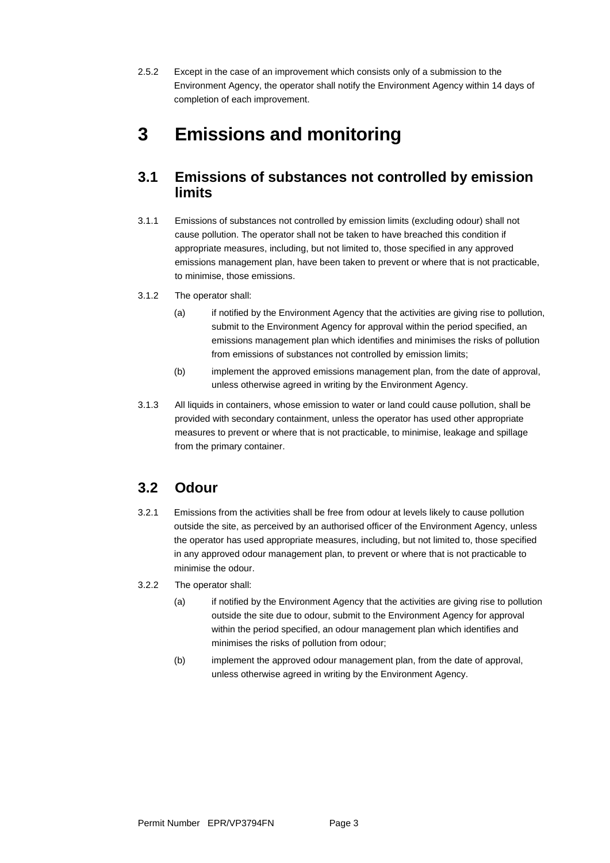2.5.2 Except in the case of an improvement which consists only of a submission to the Environment Agency, the operator shall notify the Environment Agency within 14 days of completion of each improvement.

## **3 Emissions and monitoring**

#### **3.1 Emissions of substances not controlled by emission limits**

- 3.1.1 Emissions of substances not controlled by emission limits (excluding odour) shall not cause pollution. The operator shall not be taken to have breached this condition if appropriate measures, including, but not limited to, those specified in any approved emissions management plan, have been taken to prevent or where that is not practicable, to minimise, those emissions.
- 3.1.2 The operator shall:
	- (a) if notified by the Environment Agency that the activities are giving rise to pollution, submit to the Environment Agency for approval within the period specified, an emissions management plan which identifies and minimises the risks of pollution from emissions of substances not controlled by emission limits;
	- (b) implement the approved emissions management plan, from the date of approval, unless otherwise agreed in writing by the Environment Agency.
- 3.1.3 All liquids in containers, whose emission to water or land could cause pollution, shall be provided with secondary containment, unless the operator has used other appropriate measures to prevent or where that is not practicable, to minimise, leakage and spillage from the primary container.

#### **3.2 Odour**

- 3.2.1 Emissions from the activities shall be free from odour at levels likely to cause pollution outside the site, as perceived by an authorised officer of the Environment Agency, unless the operator has used appropriate measures, including, but not limited to, those specified in any approved odour management plan, to prevent or where that is not practicable to minimise the odour.
- 3.2.2 The operator shall:
	- (a) if notified by the Environment Agency that the activities are giving rise to pollution outside the site due to odour, submit to the Environment Agency for approval within the period specified, an odour management plan which identifies and minimises the risks of pollution from odour;
	- (b) implement the approved odour management plan, from the date of approval, unless otherwise agreed in writing by the Environment Agency.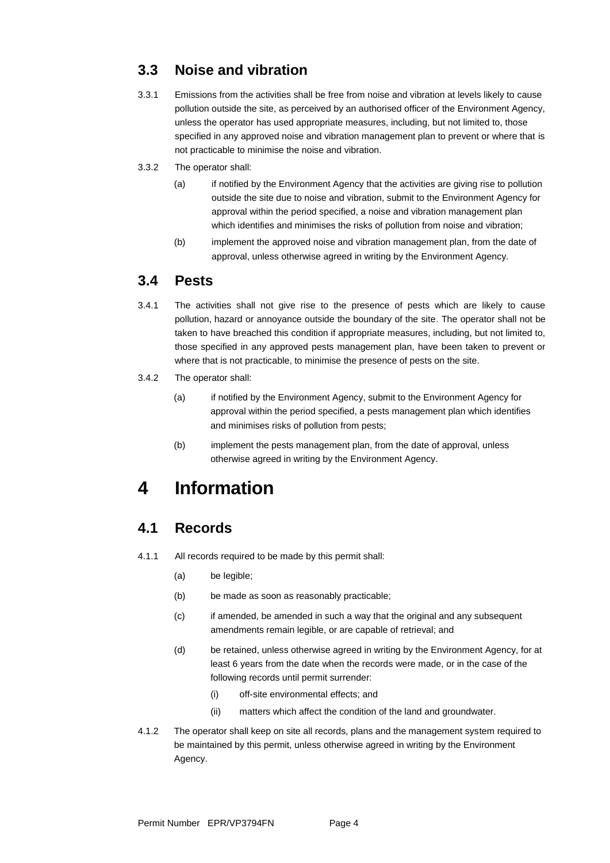### **3.3 Noise and vibration**

- 3.3.1 Emissions from the activities shall be free from noise and vibration at levels likely to cause pollution outside the site, as perceived by an authorised officer of the Environment Agency, unless the operator has used appropriate measures, including, but not limited to, those specified in any approved noise and vibration management plan to prevent or where that is not practicable to minimise the noise and vibration.
- 3.3.2 The operator shall:
	- (a) if notified by the Environment Agency that the activities are giving rise to pollution outside the site due to noise and vibration, submit to the Environment Agency for approval within the period specified, a noise and vibration management plan which identifies and minimises the risks of pollution from noise and vibration;
	- (b) implement the approved noise and vibration management plan, from the date of approval, unless otherwise agreed in writing by the Environment Agency.

#### **3.4 Pests**

- 3.4.1 The activities shall not give rise to the presence of pests which are likely to cause pollution, hazard or annoyance outside the boundary of the site. The operator shall not be taken to have breached this condition if appropriate measures, including, but not limited to, those specified in any approved pests management plan, have been taken to prevent or where that is not practicable, to minimise the presence of pests on the site.
- 3.4.2 The operator shall:
	- (a) if notified by the Environment Agency, submit to the Environment Agency for approval within the period specified, a pests management plan which identifies and minimises risks of pollution from pests;
	- (b) implement the pests management plan, from the date of approval, unless otherwise agreed in writing by the Environment Agency.

## **4 Information**

#### **4.1 Records**

- 4.1.1 All records required to be made by this permit shall:
	- (a) be legible;
	- (b) be made as soon as reasonably practicable;
	- (c) if amended, be amended in such a way that the original and any subsequent amendments remain legible, or are capable of retrieval; and
	- (d) be retained, unless otherwise agreed in writing by the Environment Agency, for at least 6 years from the date when the records were made, or in the case of the following records until permit surrender:
		- (i) off-site environmental effects; and
		- (ii) matters which affect the condition of the land and groundwater.
- 4.1.2 The operator shall keep on site all records, plans and the management system required to be maintained by this permit, unless otherwise agreed in writing by the Environment Agency.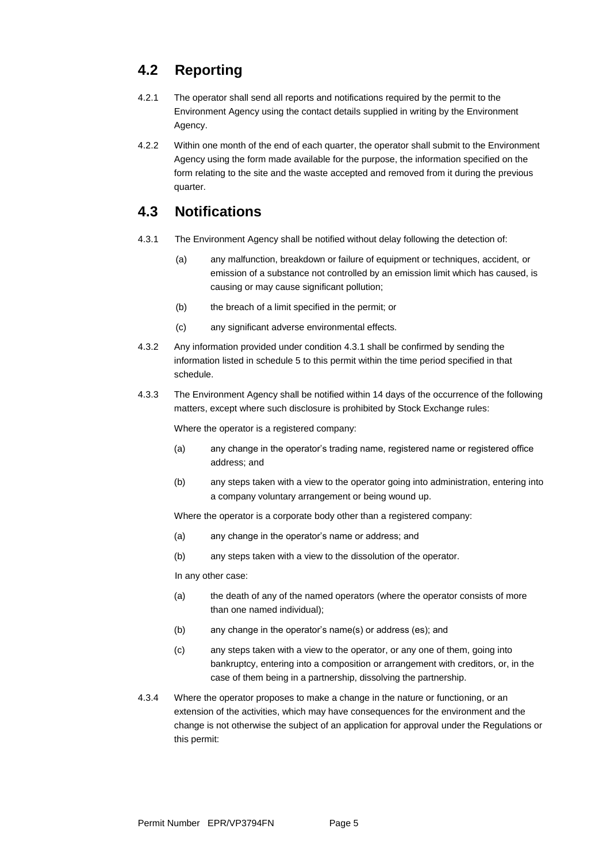### **4.2 Reporting**

- 4.2.1 The operator shall send all reports and notifications required by the permit to the Environment Agency using the contact details supplied in writing by the Environment Agency.
- 4.2.2 Within one month of the end of each quarter, the operator shall submit to the Environment Agency using the form made available for the purpose, the information specified on the form relating to the site and the waste accepted and removed from it during the previous quarter.

#### **4.3 Notifications**

- 4.3.1 The Environment Agency shall be notified without delay following the detection of:
	- (a) any malfunction, breakdown or failure of equipment or techniques, accident, or emission of a substance not controlled by an emission limit which has caused, is causing or may cause significant pollution;
	- (b) the breach of a limit specified in the permit; or
	- (c) any significant adverse environmental effects.
- 4.3.2 Any information provided under condition 4.3.1 shall be confirmed by sending the information listed in schedule 5 to this permit within the time period specified in that schedule.
- 4.3.3 The Environment Agency shall be notified within 14 days of the occurrence of the following matters, except where such disclosure is prohibited by Stock Exchange rules:

Where the operator is a registered company:

- (a) any change in the operator's trading name, registered name or registered office address; and
- (b) any steps taken with a view to the operator going into administration, entering into a company voluntary arrangement or being wound up.

Where the operator is a corporate body other than a registered company:

- (a) any change in the operator's name or address; and
- (b) any steps taken with a view to the dissolution of the operator.

In any other case:

- (a) the death of any of the named operators (where the operator consists of more than one named individual);
- (b) any change in the operator's name(s) or address (es); and
- (c) any steps taken with a view to the operator, or any one of them, going into bankruptcy, entering into a composition or arrangement with creditors, or, in the case of them being in a partnership, dissolving the partnership.
- 4.3.4 Where the operator proposes to make a change in the nature or functioning, or an extension of the activities, which may have consequences for the environment and the change is not otherwise the subject of an application for approval under the Regulations or this permit: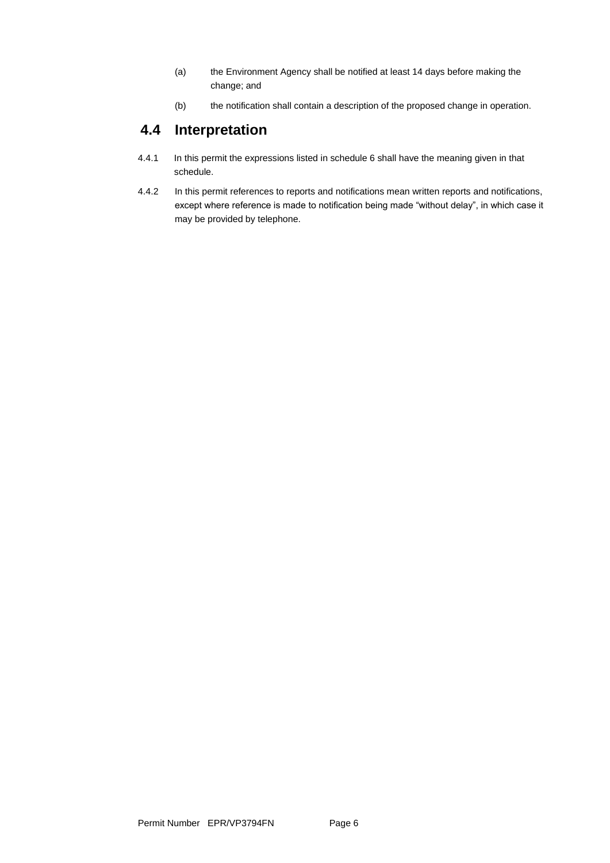- (a) the Environment Agency shall be notified at least 14 days before making the change; and
- (b) the notification shall contain a description of the proposed change in operation.

#### **4.4 Interpretation**

- 4.4.1 In this permit the expressions listed in schedule 6 shall have the meaning given in that schedule.
- 4.4.2 In this permit references to reports and notifications mean written reports and notifications, except where reference is made to notification being made "without delay", in which case it may be provided by telephone.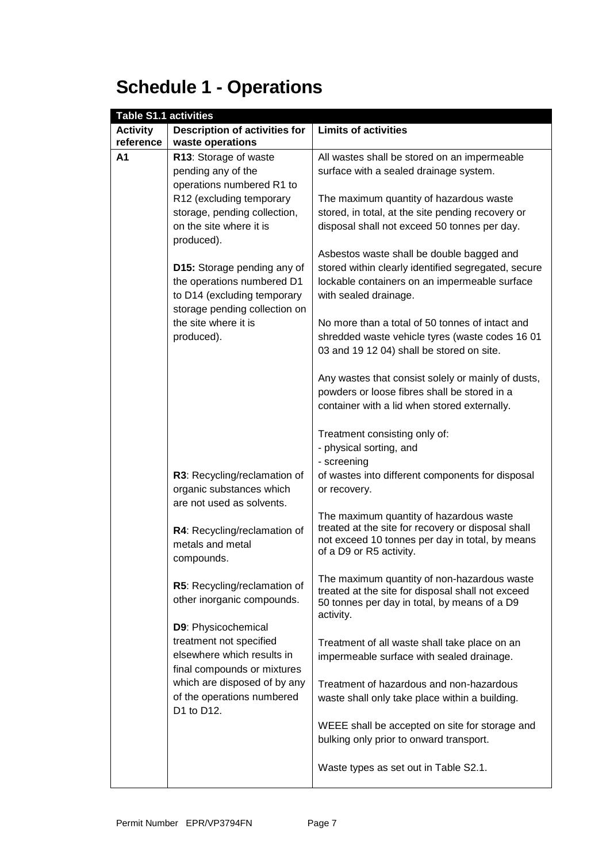# **Schedule 1 - Operations**

| <b>Table S1.1 activities</b> |                                                              |                                                                            |
|------------------------------|--------------------------------------------------------------|----------------------------------------------------------------------------|
| <b>Activity</b>              | <b>Description of activities for</b>                         | <b>Limits of activities</b>                                                |
| reference                    | waste operations                                             |                                                                            |
| A <sub>1</sub>               | R13: Storage of waste                                        | All wastes shall be stored on an impermeable                               |
|                              | pending any of the                                           | surface with a sealed drainage system.                                     |
|                              | operations numbered R1 to                                    |                                                                            |
|                              | R12 (excluding temporary                                     | The maximum quantity of hazardous waste                                    |
|                              | storage, pending collection,                                 | stored, in total, at the site pending recovery or                          |
|                              | on the site where it is<br>produced).                        | disposal shall not exceed 50 tonnes per day.                               |
|                              |                                                              | Asbestos waste shall be double bagged and                                  |
|                              | D15: Storage pending any of                                  | stored within clearly identified segregated, secure                        |
|                              | the operations numbered D1                                   | lockable containers on an impermeable surface                              |
|                              | to D14 (excluding temporary<br>storage pending collection on | with sealed drainage.                                                      |
|                              | the site where it is                                         | No more than a total of 50 tonnes of intact and                            |
|                              | produced).                                                   | shredded waste vehicle tyres (waste codes 16 01                            |
|                              |                                                              | 03 and 19 12 04) shall be stored on site.                                  |
|                              |                                                              |                                                                            |
|                              |                                                              | Any wastes that consist solely or mainly of dusts,                         |
|                              |                                                              | powders or loose fibres shall be stored in a                               |
|                              |                                                              | container with a lid when stored externally.                               |
|                              |                                                              | Treatment consisting only of:                                              |
|                              |                                                              | - physical sorting, and                                                    |
|                              |                                                              | - screening                                                                |
|                              | R3: Recycling/reclamation of                                 | of wastes into different components for disposal                           |
|                              | organic substances which                                     | or recovery.                                                               |
|                              | are not used as solvents.                                    |                                                                            |
|                              |                                                              | The maximum quantity of hazardous waste                                    |
|                              | R4: Recycling/reclamation of                                 | treated at the site for recovery or disposal shall                         |
|                              | metals and metal                                             | not exceed 10 tonnes per day in total, by means<br>of a D9 or R5 activity. |
|                              | compounds.                                                   |                                                                            |
|                              |                                                              | The maximum quantity of non-hazardous waste                                |
|                              | R5: Recycling/reclamation of                                 | treated at the site for disposal shall not exceed                          |
|                              | other inorganic compounds.                                   | 50 tonnes per day in total, by means of a D9                               |
|                              | D9: Physicochemical                                          | activity.                                                                  |
|                              | treatment not specified                                      |                                                                            |
|                              | elsewhere which results in                                   | Treatment of all waste shall take place on an                              |
|                              | final compounds or mixtures                                  | impermeable surface with sealed drainage.                                  |
|                              | which are disposed of by any                                 | Treatment of hazardous and non-hazardous                                   |
|                              | of the operations numbered                                   | waste shall only take place within a building.                             |
|                              | D1 to D12.                                                   |                                                                            |
|                              |                                                              | WEEE shall be accepted on site for storage and                             |
|                              |                                                              | bulking only prior to onward transport.                                    |
|                              |                                                              |                                                                            |
|                              |                                                              | Waste types as set out in Table S2.1.                                      |
|                              |                                                              |                                                                            |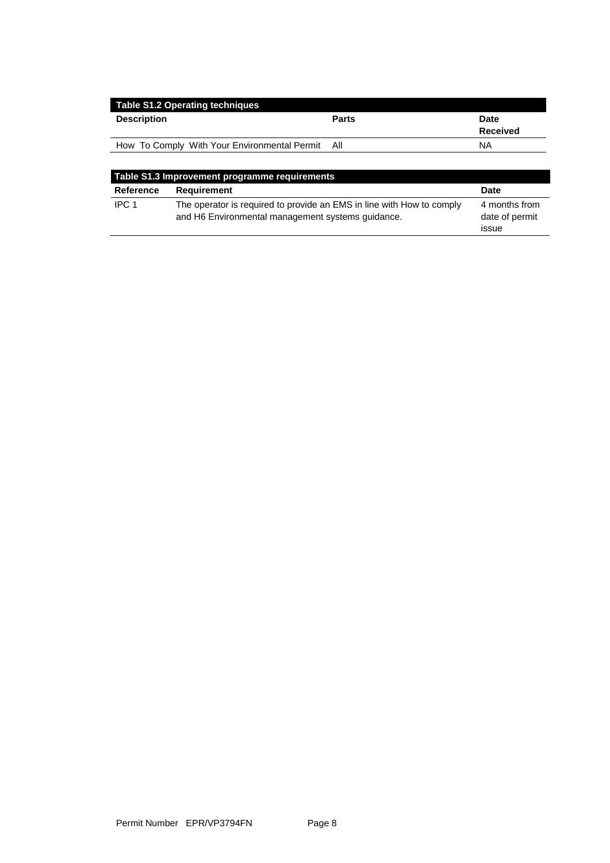| <b>Table S1.2 Operating techniques</b>           |              |                         |
|--------------------------------------------------|--------------|-------------------------|
| <b>Description</b>                               | <b>Parts</b> | <b>Date</b><br>Received |
| How To Comply With Your Environmental Permit All |              | ΝA                      |
|                                                  |              |                         |

| Table S1.3 Improvement programme requirements |                                                                                                                            |                                          |
|-----------------------------------------------|----------------------------------------------------------------------------------------------------------------------------|------------------------------------------|
| Reference                                     | Requirement                                                                                                                | <b>Date</b>                              |
| IPC <sub>1</sub>                              | The operator is required to provide an EMS in line with How to comply<br>and H6 Environmental management systems guidance. | 4 months from<br>date of permit<br>issue |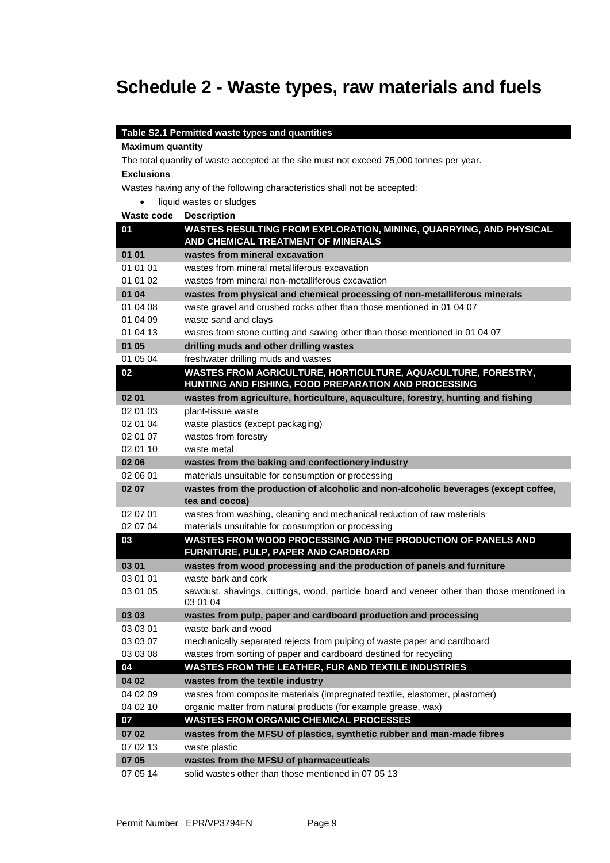## **Schedule 2 - Waste types, raw materials and fuels**

#### **Table S2.1 Permitted waste types and quantities**

#### **Maximum quantity**

The total quantity of waste accepted at the site must not exceed 75,000 tonnes per year.

#### **Exclusions**

Wastes having any of the following characteristics shall not be accepted:

**.** liquid wastes or sludges

| 01       | WASTES RESULTING FROM EXPLORATION, MINING, QUARRYING, AND PHYSICAL<br>AND CHEMICAL TREATMENT OF MINERALS              |
|----------|-----------------------------------------------------------------------------------------------------------------------|
| 01 01    | wastes from mineral excavation                                                                                        |
| 01 01 01 | wastes from mineral metalliferous excavation                                                                          |
| 01 01 02 | wastes from mineral non-metalliferous excavation                                                                      |
| 01 04    | wastes from physical and chemical processing of non-metalliferous minerals                                            |
| 01 04 08 | waste gravel and crushed rocks other than those mentioned in 01 04 07                                                 |
| 01 04 09 | waste sand and clays                                                                                                  |
| 01 04 13 | wastes from stone cutting and sawing other than those mentioned in 01 04 07                                           |
| 01 05    | drilling muds and other drilling wastes                                                                               |
| 01 05 04 | freshwater drilling muds and wastes                                                                                   |
| 02       | WASTES FROM AGRICULTURE, HORTICULTURE, AQUACULTURE, FORESTRY,<br>HUNTING AND FISHING, FOOD PREPARATION AND PROCESSING |
| 02 01    | wastes from agriculture, horticulture, aquaculture, forestry, hunting and fishing                                     |
| 02 01 03 | plant-tissue waste                                                                                                    |
| 02 01 04 | waste plastics (except packaging)                                                                                     |
| 02 01 07 | wastes from forestry                                                                                                  |
| 02 01 10 | waste metal                                                                                                           |
| 02 06    | wastes from the baking and confectionery industry                                                                     |
| 02 06 01 | materials unsuitable for consumption or processing                                                                    |
| 02 07    | wastes from the production of alcoholic and non-alcoholic beverages (except coffee,                                   |
|          | tea and cocoa)                                                                                                        |
| 02 07 01 | wastes from washing, cleaning and mechanical reduction of raw materials                                               |
| 02 07 04 | materials unsuitable for consumption or processing                                                                    |
| 03       | WASTES FROM WOOD PROCESSING AND THE PRODUCTION OF PANELS AND<br>FURNITURE, PULP, PAPER AND CARDBOARD                  |
| 03 01    | wastes from wood processing and the production of panels and furniture                                                |
| 03 01 01 | waste bark and cork                                                                                                   |
| 03 01 05 | sawdust, shavings, cuttings, wood, particle board and veneer other than those mentioned in<br>03 01 04                |
| 03 03    | wastes from pulp, paper and cardboard production and processing                                                       |
| 03 03 01 | waste bark and wood                                                                                                   |
| 03 03 07 | mechanically separated rejects from pulping of waste paper and cardboard                                              |
| 03 03 08 | wastes from sorting of paper and cardboard destined for recycling                                                     |
| 04       | <b>WASTES FROM THE LEATHER, FUR AND TEXTILE INDUSTRIES</b>                                                            |
| 04 02    | wastes from the textile industry                                                                                      |
| 04 02 09 | wastes from composite materials (impregnated textile, elastomer, plastomer)                                           |
| 04 02 10 | organic matter from natural products (for example grease, wax)                                                        |
| 07       | <b>WASTES FROM ORGANIC CHEMICAL PROCESSES</b>                                                                         |
| 07 02    | wastes from the MFSU of plastics, synthetic rubber and man-made fibres                                                |
| 07 02 13 | waste plastic                                                                                                         |
| 07 05    | wastes from the MFSU of pharmaceuticals                                                                               |
| 07 05 14 | solid wastes other than those mentioned in 07 05 13                                                                   |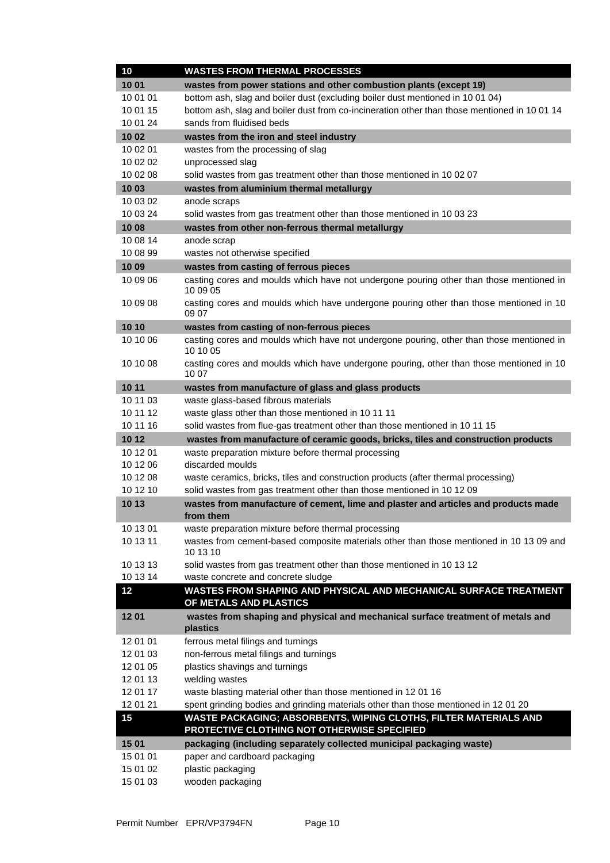| 10                | <b>WASTES FROM THERMAL PROCESSES</b>                                                                 |
|-------------------|------------------------------------------------------------------------------------------------------|
| 1001              | wastes from power stations and other combustion plants (except 19)                                   |
| 10 01 01          | bottom ash, slag and boiler dust (excluding boiler dust mentioned in 10 01 04)                       |
| 10 01 15          | bottom ash, slag and boiler dust from co-incineration other than those mentioned in 10 01 14         |
| 10 01 24          | sands from fluidised beds                                                                            |
| 1002              | wastes from the iron and steel industry                                                              |
| 10 02 01          | wastes from the processing of slag                                                                   |
| 10 02 02          | unprocessed slag                                                                                     |
| 10 02 08          | solid wastes from gas treatment other than those mentioned in 10 02 07                               |
| 10 03             | wastes from aluminium thermal metallurgy                                                             |
| 10 03 02          | anode scraps                                                                                         |
| 10 03 24          | solid wastes from gas treatment other than those mentioned in 10 03 23                               |
| 1008              | wastes from other non-ferrous thermal metallurgy                                                     |
| 10 08 14          | anode scrap                                                                                          |
| 10 08 99          | wastes not otherwise specified                                                                       |
| 10 09             | wastes from casting of ferrous pieces                                                                |
| 10 09 06          | casting cores and moulds which have not undergone pouring other than those mentioned in<br>10 09 05  |
| 10 09 08          | casting cores and moulds which have undergone pouring other than those mentioned in 10<br>09 07      |
| 10 10             | wastes from casting of non-ferrous pieces                                                            |
| 10 10 06          | casting cores and moulds which have not undergone pouring, other than those mentioned in<br>10 10 05 |
| 10 10 08          | casting cores and moulds which have undergone pouring, other than those mentioned in 10<br>10 07     |
| 10 11             | wastes from manufacture of glass and glass products                                                  |
| 10 11 03          | waste glass-based fibrous materials                                                                  |
| 10 11 12          | waste glass other than those mentioned in 10 11 11                                                   |
| 10 11 16          | solid wastes from flue-gas treatment other than those mentioned in 10 11 15                          |
| 10 12             | wastes from manufacture of ceramic goods, bricks, tiles and construction products                    |
| 10 12 01          | waste preparation mixture before thermal processing                                                  |
| 10 12 06          | discarded moulds                                                                                     |
| 10 12 08          | waste ceramics, bricks, tiles and construction products (after thermal processing)                   |
| 10 12 10          | solid wastes from gas treatment other than those mentioned in 10 12 09                               |
| 10 13             | wastes from manufacture of cement, lime and plaster and articles and products made<br>from them      |
| 10 13 01          | waste preparation mixture before thermal processing                                                  |
| 10 13 11          |                                                                                                      |
|                   | wastes from cement-based composite materials other than those mentioned in 10 13 09 and<br>10 13 10  |
| 10 13 13          | solid wastes from gas treatment other than those mentioned in 10 13 12                               |
| 10 13 14          | waste concrete and concrete sludge                                                                   |
| 12                | WASTES FROM SHAPING AND PHYSICAL AND MECHANICAL SURFACE TREATMENT<br>OF METALS AND PLASTICS          |
| 1201              | wastes from shaping and physical and mechanical surface treatment of metals and<br>plastics          |
| 12 01 01          | ferrous metal filings and turnings                                                                   |
| 12 01 03          | non-ferrous metal filings and turnings                                                               |
| 12 01 05          | plastics shavings and turnings                                                                       |
| 12 01 13          | welding wastes                                                                                       |
| 12 01 17          | waste blasting material other than those mentioned in 12 01 16                                       |
| 12 01 21          | spent grinding bodies and grinding materials other than those mentioned in 12 01 20                  |
| 15                | <b>WASTE PACKAGING; ABSORBENTS, WIPING CLOTHS, FILTER MATERIALS AND</b>                              |
|                   | PROTECTIVE CLOTHING NOT OTHERWISE SPECIFIED                                                          |
| 15 01<br>15 01 01 | packaging (including separately collected municipal packaging waste)                                 |
| 15 01 02          | paper and cardboard packaging<br>plastic packaging                                                   |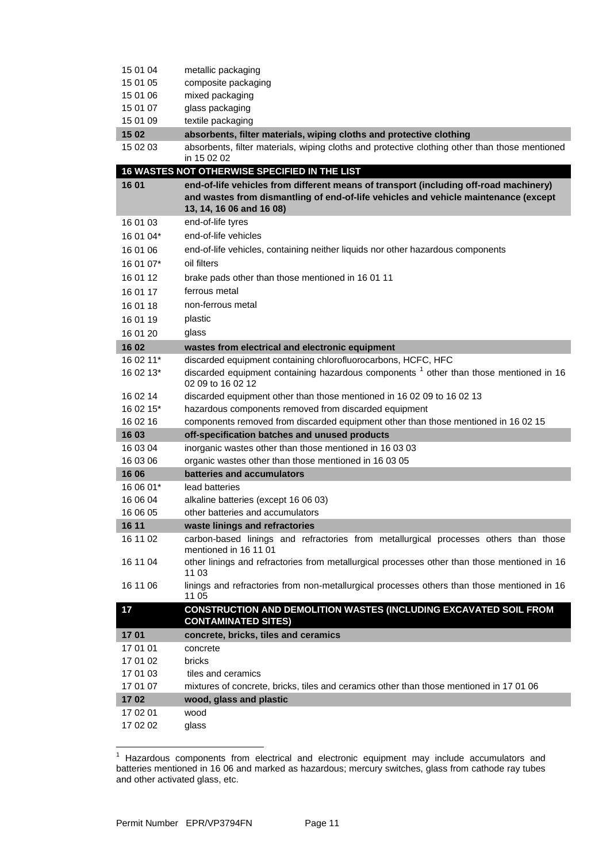| 15 01 04               | metallic packaging                                                                                                                                                                                       |
|------------------------|----------------------------------------------------------------------------------------------------------------------------------------------------------------------------------------------------------|
| 15 01 05               | composite packaging                                                                                                                                                                                      |
| 15 01 06               | mixed packaging                                                                                                                                                                                          |
| 15 01 07               | glass packaging                                                                                                                                                                                          |
| 15 01 09               | textile packaging                                                                                                                                                                                        |
| 15 02                  | absorbents, filter materials, wiping cloths and protective clothing                                                                                                                                      |
| 15 02 03               | absorbents, filter materials, wiping cloths and protective clothing other than those mentioned<br>in 15 02 02                                                                                            |
|                        | 16 WASTES NOT OTHERWISE SPECIFIED IN THE LIST                                                                                                                                                            |
| 16 01                  | end-of-life vehicles from different means of transport (including off-road machinery)<br>and wastes from dismantling of end-of-life vehicles and vehicle maintenance (except<br>13, 14, 16 06 and 16 08) |
| 16 01 03               | end-of-life tyres                                                                                                                                                                                        |
| 16 01 04*              | end-of-life vehicles                                                                                                                                                                                     |
| 16 01 06               | end-of-life vehicles, containing neither liquids nor other hazardous components                                                                                                                          |
| 16 01 07*              | oil filters                                                                                                                                                                                              |
| 16 01 12               | brake pads other than those mentioned in 16 01 11                                                                                                                                                        |
| 16 01 17               | ferrous metal                                                                                                                                                                                            |
| 16 01 18               | non-ferrous metal                                                                                                                                                                                        |
|                        |                                                                                                                                                                                                          |
| 16 01 19               | plastic                                                                                                                                                                                                  |
| 16 01 20               | glass                                                                                                                                                                                                    |
| 16 02                  | wastes from electrical and electronic equipment                                                                                                                                                          |
| 16 02 11*<br>16 02 13* | discarded equipment containing chlorofluorocarbons, HCFC, HFC<br>discarded equipment containing hazardous components <sup>1</sup> other than those mentioned in 16<br>02 09 to 16 02 12                  |
| 16 02 14               | discarded equipment other than those mentioned in 16 02 09 to 16 02 13                                                                                                                                   |
| 16 02 15*              | hazardous components removed from discarded equipment                                                                                                                                                    |
| 16 02 16               | components removed from discarded equipment other than those mentioned in 16 02 15                                                                                                                       |
| 16 03                  | off-specification batches and unused products                                                                                                                                                            |
| 16 03 04               | inorganic wastes other than those mentioned in 16 03 03                                                                                                                                                  |
| 16 03 06               | organic wastes other than those mentioned in 16 03 05                                                                                                                                                    |
| 16 06                  | batteries and accumulators                                                                                                                                                                               |
| 16 06 01*              | lead batteries                                                                                                                                                                                           |
| 16 06 04               | alkaline batteries (except 16 06 03)                                                                                                                                                                     |
| 16 06 05               | other batteries and accumulators                                                                                                                                                                         |
| 16 11                  | waste linings and refractories                                                                                                                                                                           |
| 16 11 02               | carbon-based linings and refractories from metallurgical processes others than those<br>mentioned in 16 11 01                                                                                            |
| 16 11 04               | other linings and refractories from metallurgical processes other than those mentioned in 16<br>11 03                                                                                                    |
| 16 11 06               | linings and refractories from non-metallurgical processes others than those mentioned in 16<br>11 05                                                                                                     |
| 17                     | CONSTRUCTION AND DEMOLITION WASTES (INCLUDING EXCAVATED SOIL FROM<br><b>CONTAMINATED SITES)</b>                                                                                                          |
| 1701                   | concrete, bricks, tiles and ceramics                                                                                                                                                                     |
| 17 01 01               | concrete                                                                                                                                                                                                 |
| 17 01 02               | <b>bricks</b>                                                                                                                                                                                            |
| 17 01 03               | tiles and ceramics                                                                                                                                                                                       |
| 17 01 07               | mixtures of concrete, bricks, tiles and ceramics other than those mentioned in 17 01 06                                                                                                                  |
| 1702                   | wood, glass and plastic                                                                                                                                                                                  |
| 17 02 01               | wood                                                                                                                                                                                                     |
| 17 02 02               |                                                                                                                                                                                                          |

 $\mathbf{1}$ <sup>1</sup> Hazardous components from electrical and electronic equipment may include accumulators and batteries mentioned in 16 06 and marked as hazardous; mercury switches, glass from cathode ray tubes and other activated glass, etc.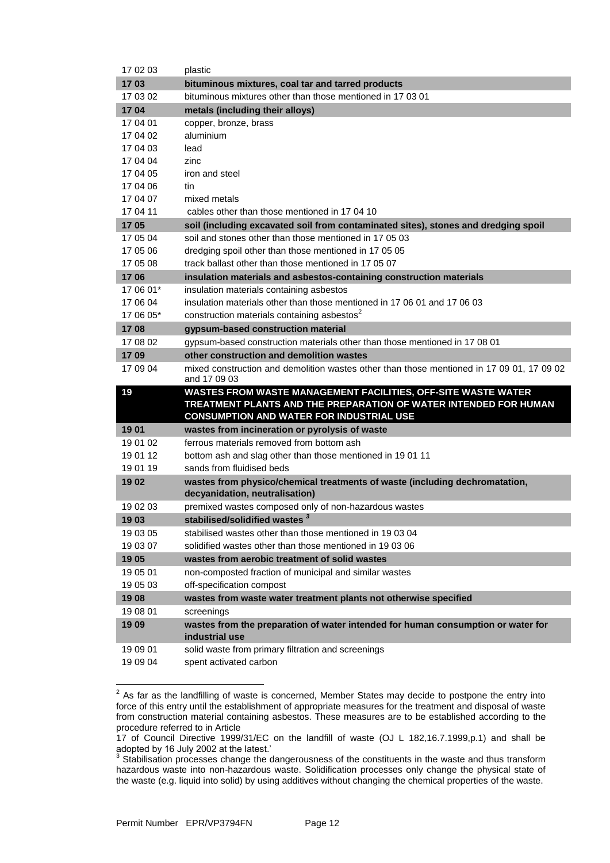| 17 02 03             | plastic                                                                                   |
|----------------------|-------------------------------------------------------------------------------------------|
| 1703                 | bituminous mixtures, coal tar and tarred products                                         |
| 17 03 02             | bituminous mixtures other than those mentioned in 17 03 01                                |
| 1704                 | metals (including their alloys)                                                           |
| 17 04 01             | copper, bronze, brass                                                                     |
| 17 04 02             | aluminium                                                                                 |
| 17 04 03             | lead                                                                                      |
| 17 04 04             | zinc                                                                                      |
| 17 04 05             | iron and steel                                                                            |
| 17 04 06             | tin                                                                                       |
| 17 04 07             | mixed metals                                                                              |
| 17 04 11             | cables other than those mentioned in 17 04 10                                             |
| 1705                 | soil (including excavated soil from contaminated sites), stones and dredging spoil        |
| 17 05 04             | soil and stones other than those mentioned in 17 05 03                                    |
| 17 05 06             | dredging spoil other than those mentioned in 17 05 05                                     |
| 17 05 08             | track ballast other than those mentioned in 17 05 07                                      |
| 1706                 | insulation materials and asbestos-containing construction materials                       |
| 17 06 01*            | insulation materials containing asbestos                                                  |
| 17 06 04             | insulation materials other than those mentioned in 17 06 01 and 17 06 03                  |
| 17 06 05*            | construction materials containing asbestos <sup>2</sup>                                   |
| 1708                 | gypsum-based construction material                                                        |
| 17 08 02             | gypsum-based construction materials other than those mentioned in 17 08 01                |
| 1709                 | other construction and demolition wastes                                                  |
| 17 09 04             | mixed construction and demolition wastes other than those mentioned in 17 09 01, 17 09 02 |
|                      | and 17 09 03                                                                              |
| 19                   | WASTES FROM WASTE MANAGEMENT FACILITIES, OFF-SITE WASTE WATER                             |
|                      | TREATMENT PLANTS AND THE PREPARATION OF WATER INTENDED FOR HUMAN                          |
|                      | <b>CONSUMPTION AND WATER FOR INDUSTRIAL USE</b>                                           |
|                      |                                                                                           |
| 1901                 | wastes from incineration or pyrolysis of waste                                            |
| 19 01 02             | ferrous materials removed from bottom ash                                                 |
| 19 01 12             | bottom ash and slag other than those mentioned in 1901 11                                 |
| 19 01 19             | sands from fluidised beds                                                                 |
| 1902                 | wastes from physico/chemical treatments of waste (including dechromatation,               |
|                      | decyanidation, neutralisation)                                                            |
| 19 02 03             | premixed wastes composed only of non-hazardous wastes                                     |
| 1903                 | stabilised/solidified wastes 3                                                            |
| 19 03 05             | stabilised wastes other than those mentioned in 19 03 04                                  |
| 19 03 07             | solidified wastes other than those mentioned in 190306                                    |
| 1905                 | wastes from aerobic treatment of solid wastes                                             |
| 19 05 01             | non-composted fraction of municipal and similar wastes                                    |
| 19 05 03             | off-specification compost                                                                 |
| 1908                 | wastes from waste water treatment plants not otherwise specified                          |
| 19 08 01             | screenings                                                                                |
| 1909                 | wastes from the preparation of water intended for human consumption or water for          |
|                      | industrial use                                                                            |
| 19 09 01<br>19 09 04 | solid waste from primary filtration and screenings<br>spent activated carbon              |

**EXENDED TO ASSE THE EXENTM TO ASSET THE RETAINAL TO ASSET THE RETAINAL TO ASSET THE PROT**<br><sup>2</sup> As far as the landfilling of waste is concerned, Member States may decide to postpone the entry into force of this entry until the establishment of appropriate measures for the treatment and disposal of waste from construction material containing asbestos. These measures are to be established according to the procedure referred to in Article

<sup>17</sup> of Council Directive 1999/31/EC on the landfill of waste (OJ L 182,16.7.1999,p.1) and shall be adopted by 16 July 2002 at the latest.' 3

Stabilisation processes change the dangerousness of the constituents in the waste and thus transform hazardous waste into non-hazardous waste. Solidification processes only change the physical state of the waste (e.g. liquid into solid) by using additives without changing the chemical properties of the waste.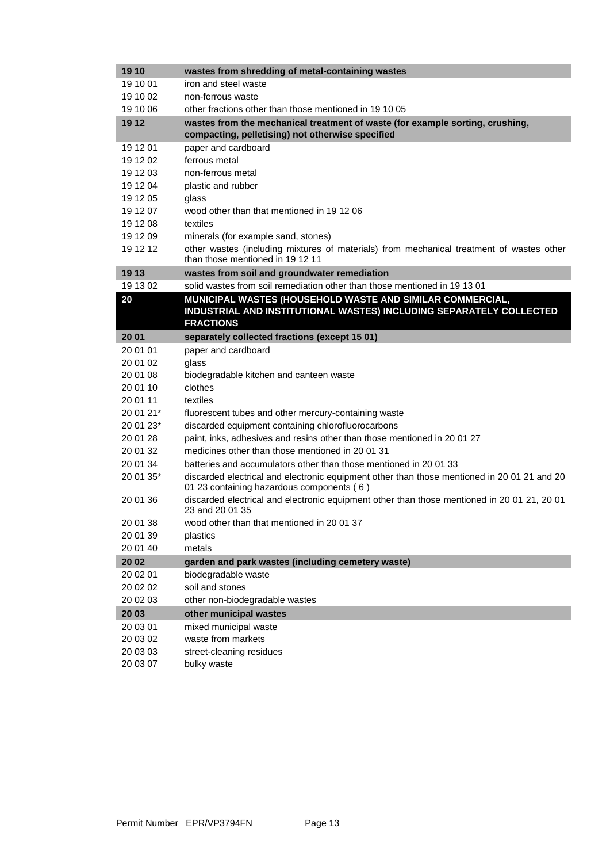| 19 10     | wastes from shredding of metal-containing wastes                                                                                         |
|-----------|------------------------------------------------------------------------------------------------------------------------------------------|
| 19 10 01  | iron and steel waste                                                                                                                     |
| 19 10 02  | non-ferrous waste                                                                                                                        |
| 19 10 06  | other fractions other than those mentioned in 19 10 05                                                                                   |
| 19 12     | wastes from the mechanical treatment of waste (for example sorting, crushing,                                                            |
|           | compacting, pelletising) not otherwise specified                                                                                         |
| 19 12 01  | paper and cardboard                                                                                                                      |
| 19 12 02  | ferrous metal                                                                                                                            |
| 19 12 03  | non-ferrous metal                                                                                                                        |
| 19 12 04  | plastic and rubber                                                                                                                       |
| 19 12 05  | glass                                                                                                                                    |
| 19 12 07  | wood other than that mentioned in 19 12 06                                                                                               |
| 19 12 08  | textiles                                                                                                                                 |
| 19 12 09  | minerals (for example sand, stones)                                                                                                      |
| 19 12 12  | other wastes (including mixtures of materials) from mechanical treatment of wastes other                                                 |
|           | than those mentioned in 1912 11                                                                                                          |
| 19 13     | wastes from soil and groundwater remediation                                                                                             |
| 19 13 02  | solid wastes from soil remediation other than those mentioned in 19 13 01                                                                |
| 20        | MUNICIPAL WASTES (HOUSEHOLD WASTE AND SIMILAR COMMERCIAL,                                                                                |
|           | INDUSTRIAL AND INSTITUTIONAL WASTES) INCLUDING SEPARATELY COLLECTED                                                                      |
|           | <b>FRACTIONS</b>                                                                                                                         |
| 20 01     | separately collected fractions (except 15 01)                                                                                            |
| 20 01 01  | paper and cardboard                                                                                                                      |
| 20 01 02  | glass                                                                                                                                    |
| 20 01 08  | biodegradable kitchen and canteen waste                                                                                                  |
| 20 01 10  | clothes                                                                                                                                  |
| 20 01 11  | textiles                                                                                                                                 |
| 20 01 21* | fluorescent tubes and other mercury-containing waste                                                                                     |
| 20 01 23* | discarded equipment containing chlorofluorocarbons                                                                                       |
| 20 01 28  | paint, inks, adhesives and resins other than those mentioned in 2001 27                                                                  |
| 20 01 32  | medicines other than those mentioned in 2001 31                                                                                          |
| 20 01 34  | batteries and accumulators other than those mentioned in 20 01 33                                                                        |
| 20 01 35* | discarded electrical and electronic equipment other than those mentioned in 20 01 21 and 20<br>01 23 containing hazardous components (6) |
| 20 01 36  | discarded electrical and electronic equipment other than those mentioned in 20 01 21, 20 01<br>23 and 20 01 35                           |
| 20 01 38  | wood other than that mentioned in 2001 37                                                                                                |
| 20 01 39  | plastics                                                                                                                                 |
| 20 01 40  | metals                                                                                                                                   |
| 20 02     | garden and park wastes (including cemetery waste)                                                                                        |
| 20 02 01  | biodegradable waste                                                                                                                      |
| 20 02 02  | soil and stones                                                                                                                          |
| 20 02 03  | other non-biodegradable wastes                                                                                                           |
| 20 03     | other municipal wastes                                                                                                                   |
| 20 03 01  | mixed municipal waste                                                                                                                    |
| 20 03 02  | waste from markets                                                                                                                       |
| 20 03 03  | street-cleaning residues                                                                                                                 |
| 20 03 07  | bulky waste                                                                                                                              |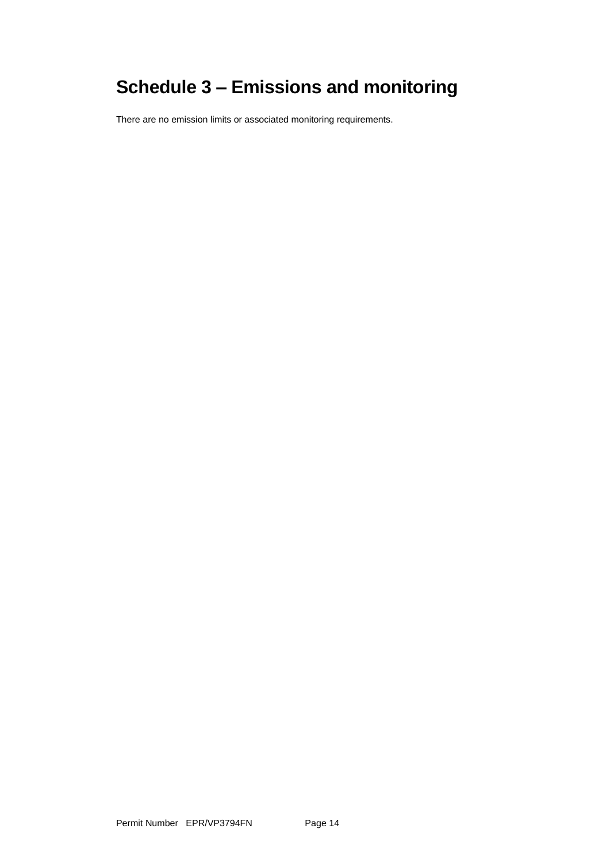# **Schedule 3 – Emissions and monitoring**

There are no emission limits or associated monitoring requirements.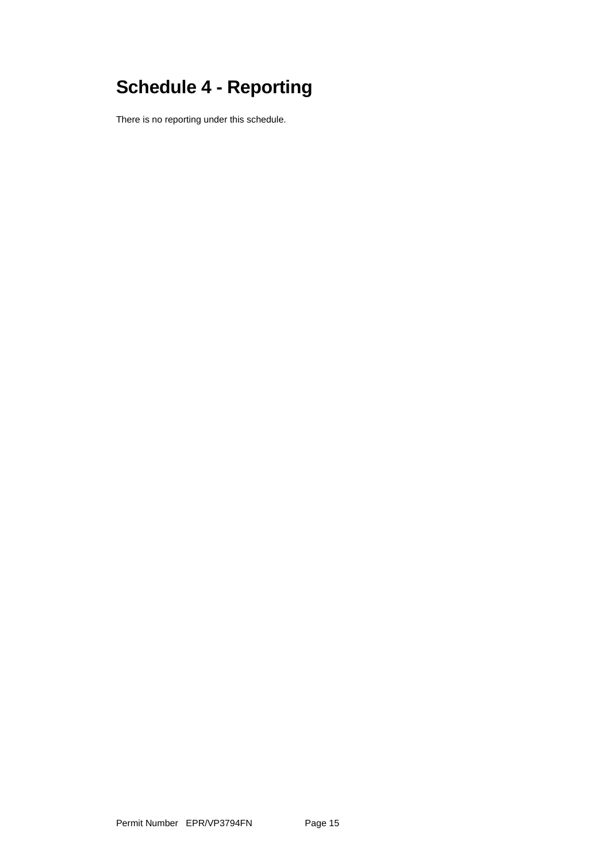# **Schedule 4 - Reporting**

There is no reporting under this schedule.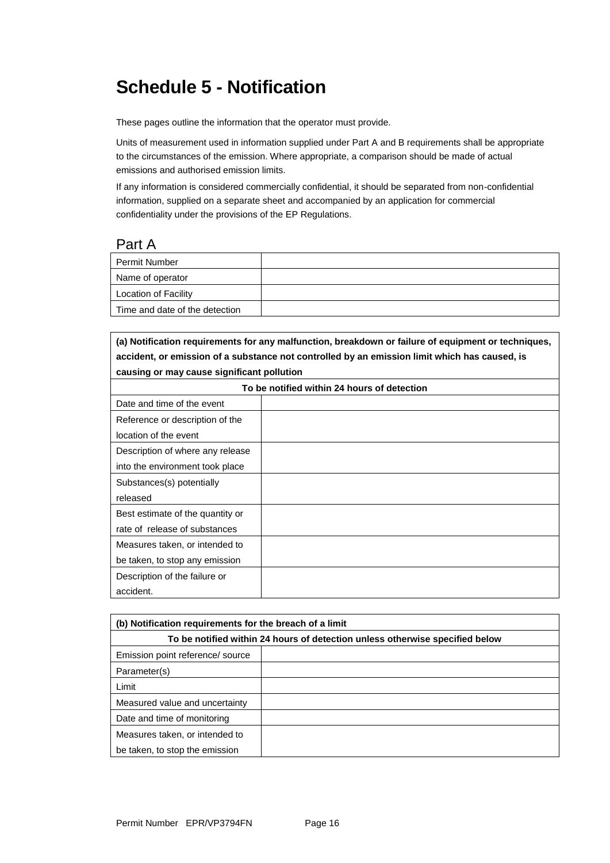## **Schedule 5 - Notification**

These pages outline the information that the operator must provide.

Units of measurement used in information supplied under Part A and B requirements shall be appropriate to the circumstances of the emission. Where appropriate, a comparison should be made of actual emissions and authorised emission limits.

If any information is considered commercially confidential, it should be separated from non-confidential information, supplied on a separate sheet and accompanied by an application for commercial confidentiality under the provisions of the EP Regulations.

#### Part A

| <b>Permit Number</b>           |  |
|--------------------------------|--|
| Name of operator               |  |
| <b>Location of Facility</b>    |  |
| Time and date of the detection |  |

**(a) Notification requirements for any malfunction, breakdown or failure of equipment or techniques, accident, or emission of a substance not controlled by an emission limit which has caused, is causing or may cause significant pollution**

| To be notified within 24 hours of detection |  |  |
|---------------------------------------------|--|--|
| Date and time of the event                  |  |  |
| Reference or description of the             |  |  |
| location of the event                       |  |  |
| Description of where any release            |  |  |
| into the environment took place             |  |  |
| Substances(s) potentially                   |  |  |
| released                                    |  |  |
| Best estimate of the quantity or            |  |  |
| rate of release of substances               |  |  |
| Measures taken, or intended to              |  |  |
| be taken, to stop any emission              |  |  |
| Description of the failure or               |  |  |
| accident.                                   |  |  |

| (b) Notification requirements for the breach of a limit                      |  |  |
|------------------------------------------------------------------------------|--|--|
| To be notified within 24 hours of detection unless otherwise specified below |  |  |
| Emission point reference/ source                                             |  |  |
| Parameter(s)                                                                 |  |  |
| Limit                                                                        |  |  |
| Measured value and uncertainty                                               |  |  |
| Date and time of monitoring                                                  |  |  |
| Measures taken, or intended to                                               |  |  |
| be taken, to stop the emission                                               |  |  |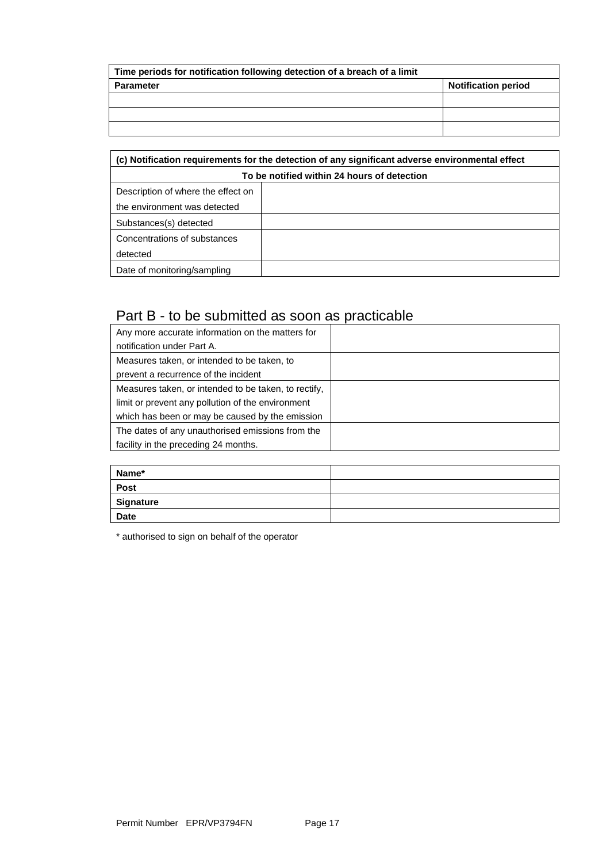| Time periods for notification following detection of a breach of a limit |                            |  |
|--------------------------------------------------------------------------|----------------------------|--|
| <b>Parameter</b>                                                         | <b>Notification period</b> |  |
|                                                                          |                            |  |
|                                                                          |                            |  |
|                                                                          |                            |  |

| (c) Notification requirements for the detection of any significant adverse environmental effect |  |  |
|-------------------------------------------------------------------------------------------------|--|--|
| To be notified within 24 hours of detection                                                     |  |  |
| Description of where the effect on                                                              |  |  |
| the environment was detected                                                                    |  |  |
| Substances(s) detected                                                                          |  |  |
| Concentrations of substances                                                                    |  |  |
| detected                                                                                        |  |  |
| Date of monitoring/sampling                                                                     |  |  |

### Part B - to be submitted as soon as practicable

| Any more accurate information on the matters for<br>notification under Part A. |  |
|--------------------------------------------------------------------------------|--|
| Measures taken, or intended to be taken, to                                    |  |
| prevent a recurrence of the incident                                           |  |
| Measures taken, or intended to be taken, to rectify,                           |  |
| limit or prevent any pollution of the environment                              |  |
| which has been or may be caused by the emission                                |  |
| The dates of any unauthorised emissions from the                               |  |
| facility in the preceding 24 months.                                           |  |

| Name*       |  |
|-------------|--|
| <b>Post</b> |  |
| Signature   |  |
| <b>Date</b> |  |

\* authorised to sign on behalf of the operator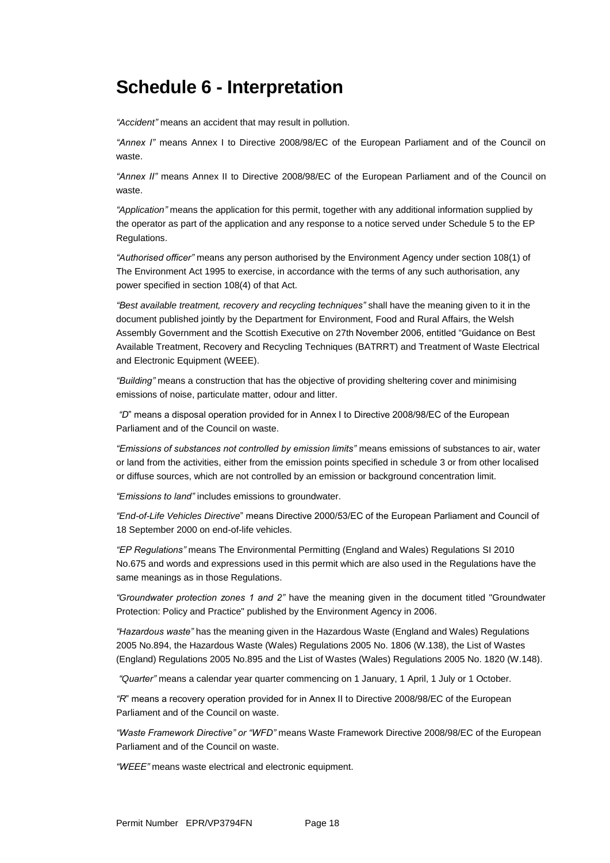## **Schedule 6 - Interpretation**

*"Accident"* means an accident that may result in pollution.

*"Annex I"* means Annex I to Directive 2008/98/EC of the European Parliament and of the Council on waste.

*"Annex II"* means Annex II to Directive 2008/98/EC of the European Parliament and of the Council on waste.

*"Application"* means the application for this permit, together with any additional information supplied by the operator as part of the application and any response to a notice served under Schedule 5 to the EP Regulations.

*"Authorised officer"* means any person authorised by the Environment Agency under section 108(1) of The Environment Act 1995 to exercise, in accordance with the terms of any such authorisation, any power specified in section 108(4) of that Act*.*

*"Best available treatment, recovery and recycling techniques"* shall have the meaning given to it in the document published jointly by the Department for Environment, Food and Rural Affairs, the Welsh Assembly Government and the Scottish Executive on 27th November 2006, entitled "Guidance on Best Available Treatment, Recovery and Recycling Techniques (BATRRT) and Treatment of Waste Electrical and Electronic Equipment (WEEE).

*"Building"* means a construction that has the objective of providing sheltering cover and minimising emissions of noise, particulate matter, odour and litter.

*"D*" means a disposal operation provided for in Annex I to Directive 2008/98/EC of the European Parliament and of the Council on waste.

*"Emissions of substances not controlled by emission limits"* means emissions of substances to air, water or land from the activities, either from the emission points specified in schedule 3 or from other localised or diffuse sources, which are not controlled by an emission or background concentration limit.

*"Emissions to land"* includes emissions to groundwater.

*"End-of-Life Vehicles Directive*" means Directive 2000/53/EC of the European Parliament and Council of 18 September 2000 on end-of-life vehicles.

*"EP Regulations"* means The Environmental Permitting (England and Wales) Regulations SI 2010 No.675 and words and expressions used in this permit which are also used in the Regulations have the same meanings as in those Regulations.

*"Groundwater protection zones 1 and 2"* have the meaning given in the document titled "Groundwater Protection: Policy and Practice" published by the Environment Agency in 2006.

*"Hazardous waste"* has the meaning given in the Hazardous Waste (England and Wales) Regulations 2005 No.894, the Hazardous Waste (Wales) Regulations 2005 No. 1806 (W.138), the List of Wastes (England) Regulations 2005 No.895 and the List of Wastes (Wales) Regulations 2005 No. 1820 (W.148).

*"Quarter"* means a calendar year quarter commencing on 1 January, 1 April, 1 July or 1 October.

*"R*" means a recovery operation provided for in Annex II to Directive 2008/98/EC of the European Parliament and of the Council on waste.

*"Waste Framework Directive" or "WFD"* means Waste Framework Directive 2008/98/EC of the European Parliament and of the Council on waste.

*"WEEE"* means waste electrical and electronic equipment.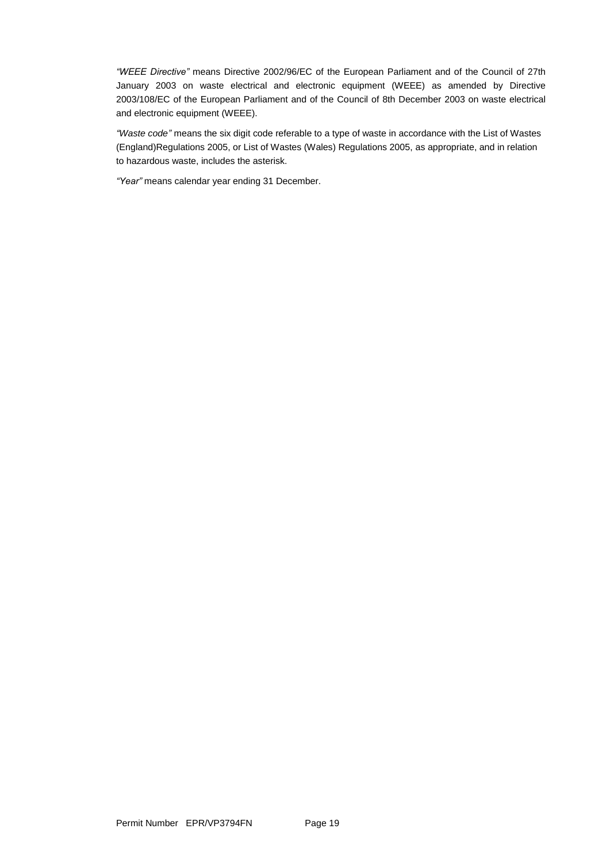*"WEEE Directive"* means Directive 2002/96/EC of the European Parliament and of the Council of 27th January 2003 on waste electrical and electronic equipment (WEEE) as amended by Directive 2003/108/EC of the European Parliament and of the Council of 8th December 2003 on waste electrical and electronic equipment (WEEE).

*"Waste code"* means the six digit code referable to a type of waste in accordance with the List of Wastes (England)Regulations 2005, or List of Wastes (Wales) Regulations 2005, as appropriate, and in relation to hazardous waste, includes the asterisk.

*"Year"* means calendar year ending 31 December.